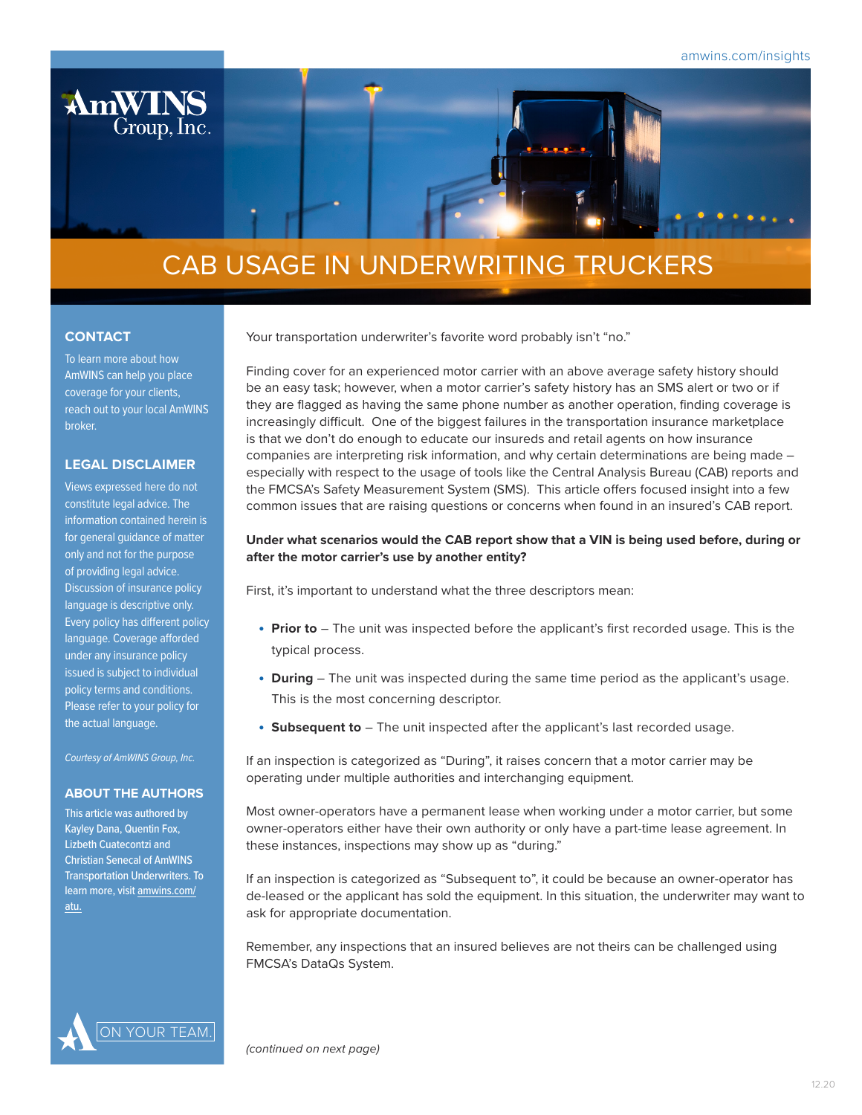

# CAB USAGE IN UNDERWRITING TRUCKERS

## **CONTACT**

To learn more about how AmWINS can help you place coverage for your clients, reach out to your local AmWINS broker.

# **LEGAL DISCLAIMER**

Views expressed here do not constitute legal advice. The information contained herein is for general guidance of matter only and not for the purpose of providing legal advice. Discussion of insurance policy language is descriptive only. Every policy has different policy language. Coverage afforded under any insurance policy issued is subject to individual policy terms and conditions. Please refer to your policy for the actual language.

*Courtesy of AmWINS Group, Inc.*

## **ABOUT THE AUTHORS**

This article was authored by Kayley Dana, Quentin Fox, Lizbeth Cuatecontzi and Christian Senecal of AmWINS Transportation Underwriters. To learn more, visit [amwins.com/](http://amwins.com/atu) [atu](http://amwins.com/atu).

Your transportation underwriter's favorite word probably isn't "no."

Finding cover for an experienced motor carrier with an above average safety history should be an easy task; however, when a motor carrier's safety history has an SMS alert or two or if they are flagged as having the same phone number as another operation, finding coverage is increasingly difficult. One of the biggest failures in the transportation insurance marketplace is that we don't do enough to educate our insureds and retail agents on how insurance companies are interpreting risk information, and why certain determinations are being made – especially with respect to the usage of tools like the Central Analysis Bureau (CAB) reports and the FMCSA's Safety Measurement System (SMS). This article offers focused insight into a few common issues that are raising questions or concerns when found in an insured's CAB report.

# **Under what scenarios would the CAB report show that a VIN is being used before, during or after the motor carrier's use by another entity?**

First, it's important to understand what the three descriptors mean:

- **Prior to** The unit was inspected before the applicant's first recorded usage. This is the typical process.
- **During** The unit was inspected during the same time period as the applicant's usage. This is the most concerning descriptor.
- **Subsequent to** The unit inspected after the applicant's last recorded usage.

If an inspection is categorized as "During", it raises concern that a motor carrier may be operating under multiple authorities and interchanging equipment.

Most owner-operators have a permanent lease when working under a motor carrier, but some owner-operators either have their own authority or only have a part-time lease agreement. In these instances, inspections may show up as "during."

If an inspection is categorized as "Subsequent to", it could be because an owner-operator has de-leased or the applicant has sold the equipment. In this situation, the underwriter may want to ask for appropriate documentation.

Remember, any inspections that an insured believes are not theirs can be challenged using FMCSA's DataQs System.



*(continued on next page)*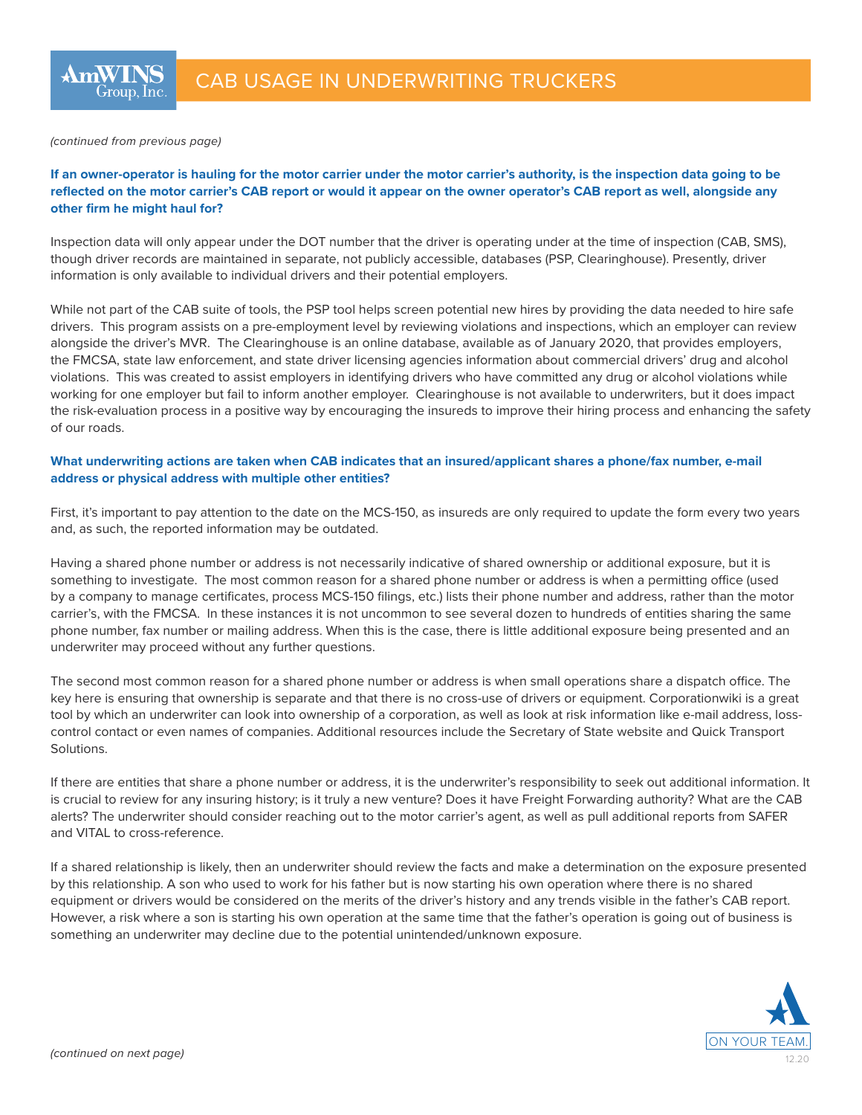#### *(continued from previous page)*

# **If an owner-operator is hauling for the motor carrier under the motor carrier's authority, is the inspection data going to be reflected on the motor carrier's CAB report or would it appear on the owner operator's CAB report as well, alongside any other firm he might haul for?**

Inspection data will only appear under the DOT number that the driver is operating under at the time of inspection (CAB, SMS), though driver records are maintained in separate, not publicly accessible, databases (PSP, Clearinghouse). Presently, driver information is only available to individual drivers and their potential employers.

While not part of the CAB suite of tools, the PSP tool helps screen potential new hires by providing the data needed to hire safe drivers. This program assists on a pre-employment level by reviewing violations and inspections, which an employer can review alongside the driver's MVR. The Clearinghouse is an online database, available as of January 2020, that provides employers, the FMCSA, state law enforcement, and state driver licensing agencies information about commercial drivers' drug and alcohol violations. This was created to assist employers in identifying drivers who have committed any drug or alcohol violations while working for one employer but fail to inform another employer. Clearinghouse is not available to underwriters, but it does impact the risk-evaluation process in a positive way by encouraging the insureds to improve their hiring process and enhancing the safety of our roads.

## **What underwriting actions are taken when CAB indicates that an insured/applicant shares a phone/fax number, e-mail address or physical address with multiple other entities?**

First, it's important to pay attention to the date on the MCS-150, as insureds are only required to update the form every two years and, as such, the reported information may be outdated.

Having a shared phone number or address is not necessarily indicative of shared ownership or additional exposure, but it is something to investigate. The most common reason for a shared phone number or address is when a permitting office (used by a company to manage certificates, process MCS-150 filings, etc.) lists their phone number and address, rather than the motor carrier's, with the FMCSA. In these instances it is not uncommon to see several dozen to hundreds of entities sharing the same phone number, fax number or mailing address. When this is the case, there is little additional exposure being presented and an underwriter may proceed without any further questions.

The second most common reason for a shared phone number or address is when small operations share a dispatch office. The key here is ensuring that ownership is separate and that there is no cross-use of drivers or equipment. Corporationwiki is a great tool by which an underwriter can look into ownership of a corporation, as well as look at risk information like e-mail address, losscontrol contact or even names of companies. Additional resources include the Secretary of State website and Quick Transport **Solutions** 

If there are entities that share a phone number or address, it is the underwriter's responsibility to seek out additional information. It is crucial to review for any insuring history; is it truly a new venture? Does it have Freight Forwarding authority? What are the CAB alerts? The underwriter should consider reaching out to the motor carrier's agent, as well as pull additional reports from SAFER and VITAL to cross-reference.

If a shared relationship is likely, then an underwriter should review the facts and make a determination on the exposure presented by this relationship. A son who used to work for his father but is now starting his own operation where there is no shared equipment or drivers would be considered on the merits of the driver's history and any trends visible in the father's CAB report. However, a risk where a son is starting his own operation at the same time that the father's operation is going out of business is something an underwriter may decline due to the potential unintended/unknown exposure.